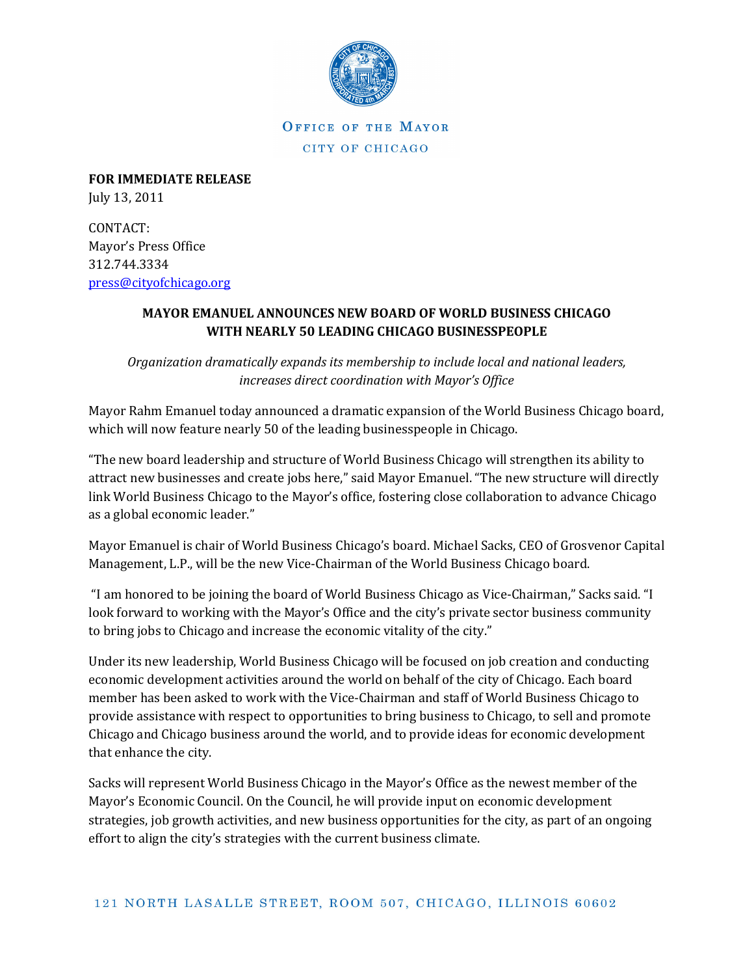

OFFICE OF THE MAYOR CITY OF CHICAGO

FOR IMMEDIATE RELEASE July 13, 2011

CONTACT: Mayor's Press Office 312.744.3334 press@cityofchicago.org

## MAYOR EMANUEL ANNOUNCES NEW BOARD OF WORLD BUSINESS CHICAGO WITH NEARLY 50 LEADING CHICAGO BUSINESSPEOPLE

Organization dramatically expands its membership to include local and national leaders, increases direct coordination with Mayor's Office

Mayor Rahm Emanuel today announced a dramatic expansion of the World Business Chicago board, which will now feature nearly 50 of the leading businesspeople in Chicago.

"The new board leadership and structure of World Business Chicago will strengthen its ability to attract new businesses and create jobs here," said Mayor Emanuel. "The new structure will directly link World Business Chicago to the Mayor's office, fostering close collaboration to advance Chicago as a global economic leader."

Mayor Emanuel is chair of World Business Chicago's board. Michael Sacks, CEO of Grosvenor Capital Management, L.P., will be the new Vice-Chairman of the World Business Chicago board.

 "I am honored to be joining the board of World Business Chicago as Vice-Chairman," Sacks said. "I look forward to working with the Mayor's Office and the city's private sector business community to bring jobs to Chicago and increase the economic vitality of the city."

Under its new leadership, World Business Chicago will be focused on job creation and conducting economic development activities around the world on behalf of the city of Chicago. Each board member has been asked to work with the Vice-Chairman and staff of World Business Chicago to provide assistance with respect to opportunities to bring business to Chicago, to sell and promote Chicago and Chicago business around the world, and to provide ideas for economic development that enhance the city.

Sacks will represent World Business Chicago in the Mayor's Office as the newest member of the Mayor's Economic Council. On the Council, he will provide input on economic development strategies, job growth activities, and new business opportunities for the city, as part of an ongoing effort to align the city's strategies with the current business climate.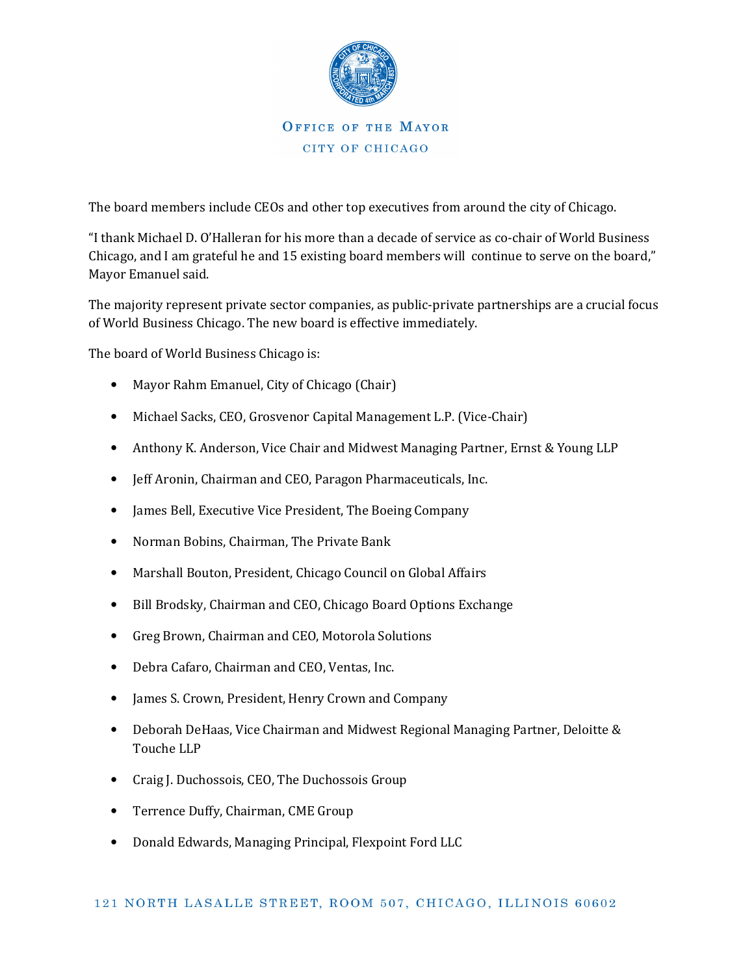

The board members include CEOs and other top executives from around the city of Chicago.

"I thank Michael D. O'Halleran for his more than a decade of service as co-chair of World Business Chicago, and I am grateful he and 15 existing board members will continue to serve on the board," Mayor Emanuel said.

The majority represent private sector companies, as public-private partnerships are a crucial focus of World Business Chicago. The new board is effective immediately.

The board of World Business Chicago is:

- Mayor Rahm Emanuel, City of Chicago (Chair)
- Michael Sacks, CEO, Grosvenor Capital Management L.P. (Vice-Chair)
- Anthony K. Anderson, Vice Chair and Midwest Managing Partner, Ernst & Young LLP
- Jeff Aronin, Chairman and CEO, Paragon Pharmaceuticals, Inc.
- James Bell, Executive Vice President, The Boeing Company
- Norman Bobins, Chairman, The Private Bank
- Marshall Bouton, President, Chicago Council on Global Affairs
- Bill Brodsky, Chairman and CEO, Chicago Board Options Exchange
- Greg Brown, Chairman and CEO, Motorola Solutions
- Debra Cafaro, Chairman and CEO, Ventas, Inc.
- James S. Crown, President, Henry Crown and Company
- Deborah DeHaas, Vice Chairman and Midwest Regional Managing Partner, Deloitte & Touche LLP
- Craig J. Duchossois, CEO, The Duchossois Group
- Terrence Duffy, Chairman, CME Group
- Donald Edwards, Managing Principal, Flexpoint Ford LLC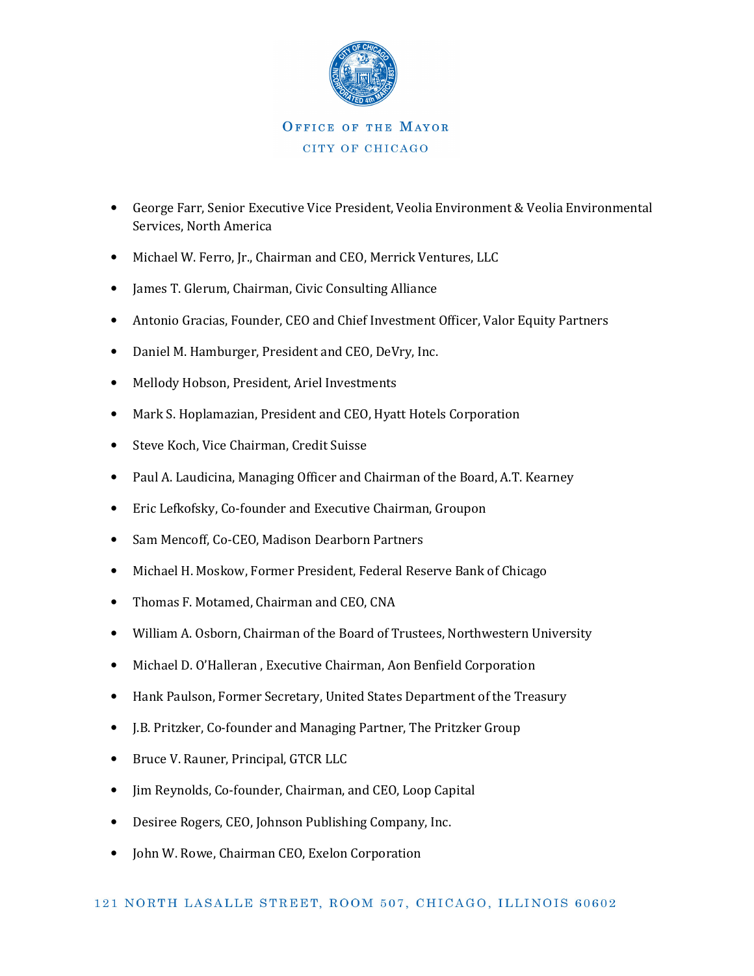

## CITY OF CHICAGO

- George Farr, Senior Executive Vice President, Veolia Environment & Veolia Environmental Services, North America
- Michael W. Ferro, Jr., Chairman and CEO, Merrick Ventures, LLC
- James T. Glerum, Chairman, Civic Consulting Alliance
- Antonio Gracias, Founder, CEO and Chief Investment Officer, Valor Equity Partners
- Daniel M. Hamburger, President and CEO, DeVry, Inc.
- Mellody Hobson, President, Ariel Investments
- Mark S. Hoplamazian, President and CEO, Hyatt Hotels Corporation
- Steve Koch, Vice Chairman, Credit Suisse
- Paul A. Laudicina, Managing Officer and Chairman of the Board, A.T. Kearney
- Eric Lefkofsky, Co-founder and Executive Chairman, Groupon
- Sam Mencoff, Co-CEO, Madison Dearborn Partners
- Michael H. Moskow, Former President, Federal Reserve Bank of Chicago
- Thomas F. Motamed, Chairman and CEO, CNA
- William A. Osborn, Chairman of the Board of Trustees, Northwestern University
- Michael D. O'Halleran , Executive Chairman, Aon Benfield Corporation
- Hank Paulson, Former Secretary, United States Department of the Treasury
- J.B. Pritzker, Co-founder and Managing Partner, The Pritzker Group
- Bruce V. Rauner, Principal, GTCR LLC
- Jim Reynolds, Co-founder, Chairman, and CEO, Loop Capital
- Desiree Rogers, CEO, Johnson Publishing Company, Inc.
- John W. Rowe, Chairman CEO, Exelon Corporation